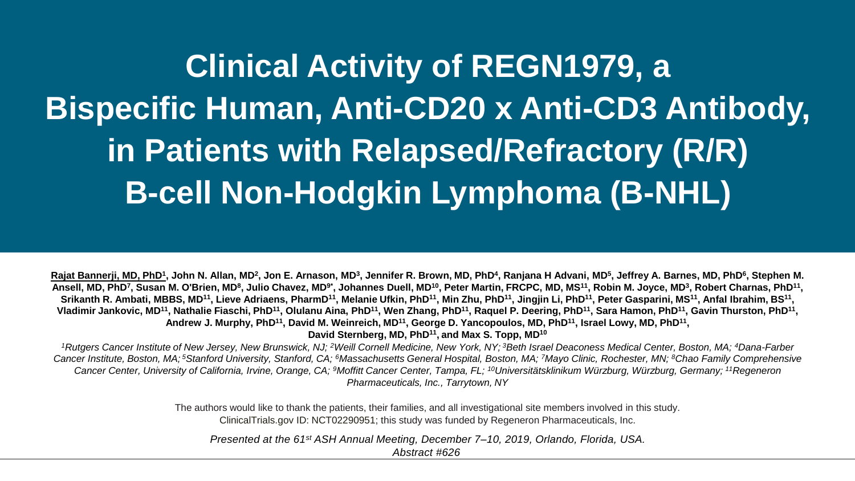**Clinical Activity of REGN1979, a Bispecific Human, Anti-CD20 x Anti-CD3 Antibody, in Patients with Relapsed/Refractory (R/R) B-cell Non-Hodgkin Lymphoma (B-NHL)**

<u>Rajat Bannerji, MD, PhD<sup>1</sup>,</u> John N. Allan, MD<sup>2</sup>, Jon E. Arnason, MD<sup>3</sup>, Jennifer R. Brown, MD, PhD<sup>4</sup>, Ranjana H Advani, MD<sup>5</sup>, Jeffrey A. Barnes, MD, PhD<sup>6</sup>, Stephen M. Ansell, MD, PhD<sup>7</sup>, Susan M. O'Brien, MD<sup>8</sup>, Julio Chavez, MD<sup>9\*</sup>, Johannes Duell, MD<sup>10</sup>, Peter Martin, FRCPC, MD, MS<sup>11</sup>, Robin M. Joyce, MD<sup>3</sup>, Robert Charnas, PhD<sup>11</sup>, Srikanth R. Ambati, MBBS, MD<sup>11</sup>, Lieve Adriaens, PharmD<sup>11</sup>, Melanie Ufkin, PhD<sup>11</sup>, Min Zhu, PhD<sup>11</sup>, Jingjin Li, PhD<sup>11</sup>, Peter Gasparini, MS<sup>11</sup>, Anfal Ibrahim, BS<sup>11</sup>, Vladimir Jankovic, MD<sup>11</sup>, Nathalie Fiaschi, PhD<sup>11</sup>, Olulanu Aina, PhD<sup>11</sup>, Wen Zhang, PhD<sup>11</sup>, Raquel P. Deering, PhD<sup>11</sup>, Sara Hamon, PhD<sup>11</sup>, Gavin Thurston, PhD<sup>11</sup>, **Andrew J. Murphy, PhD<sup>11</sup>, David M. Weinreich, MD<sup>11</sup>, George D. Yancopoulos, MD, PhD<sup>11</sup>, Israel Lowy, MD, PhD<sup>11</sup> ,** 

**David Sternberg, MD, PhD<sup>11</sup> , and Max S. Topp, MD<sup>10</sup>**

<sup>1</sup>Rutgers Cancer Institute of New Jersey, New Brunswick, NJ; <sup>2</sup>Weill Cornell Medicine, New York, NY; <sup>3</sup>Beth Israel Deaconess Medical Center, Boston, MA; <sup>4</sup>Dana-Farber Cancer Institute, Boston, MA;<sup>5</sup>Stanford University, Stanford, CA; <sup>6</sup>Massachusetts General Hospital, Boston, MA; 7Mayo Clinic, Rochester, MN; <sup>8</sup>Chao Family Comprehensive *Cancer Center, University of California, Irvine, Orange, CA; <sup>9</sup>Moffitt Cancer Center, Tampa, FL; <sup>10</sup>Universitätsklinikum Würzburg, Würzburg, Germany; <sup>11</sup>Regeneron Pharmaceuticals, Inc., Tarrytown, NY*

> The authors would like to thank the patients, their families, and all investigational site members involved in this study. ClinicalTrials.gov ID: NCT02290951; this study was funded by Regeneron Pharmaceuticals, Inc.

*Presented at the 61st ASH Annual Meeting, December 7–10, 2019, Orlando, Florida, USA. Abstract #626*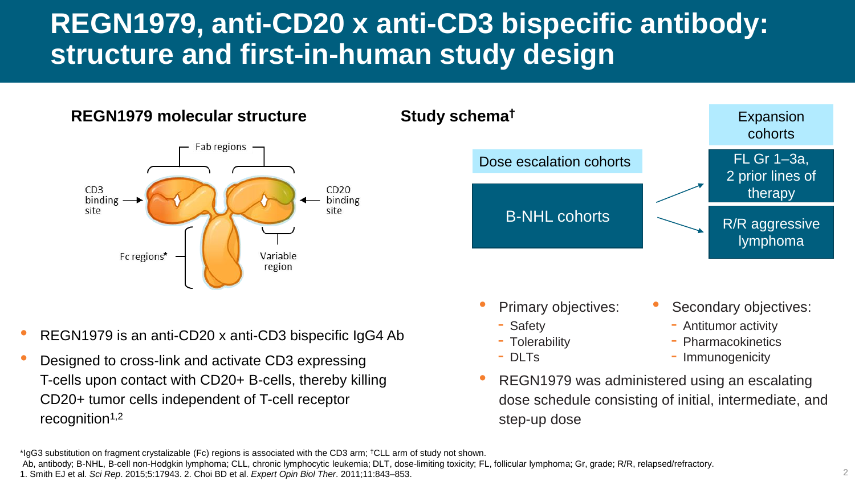# **REGN1979, anti-CD20 x anti-CD3 bispecific antibody: structure and first-in-human study design**

#### **REGN1979 molecular structure**



#### **Study schema†**



- Primary objectives:
	- Safety
	- Tolerability
	- DLTs

Secondary objectives:

**Expansion** 

- Antitumor activity
- Pharmacokinetics
- Immunogenicity
- REGN1979 was administered using an escalating dose schedule consisting of initial, intermediate, and step-up dose

• Designed to cross-link and activate CD3 expressing T-cells upon contact with CD20+ B-cells, thereby killing CD20+ tumor cells independent of T-cell receptor recognition $1,2$ 

Ab, antibody; B-NHL, B-cell non-Hodgkin lymphoma; CLL, chronic lymphocytic leukemia; DLT, dose-limiting toxicity; FL, follicular lymphoma; Gr, grade; R/R, relapsed/refractory.

<sup>•</sup> REGN1979 is an anti-CD20 x anti-CD3 bispecific IgG4 Ab

<sup>\*</sup>IgG3 substitution on fragment crystalizable (Fc) regions is associated with the CD3 arm; †CLL arm of study not shown.

<sup>1.</sup> Smith EJ et al. *Sci Rep*. 2015;5:17943. 2. Choi BD et al. *Expert Opin Biol Ther*. 2011;11:843–853.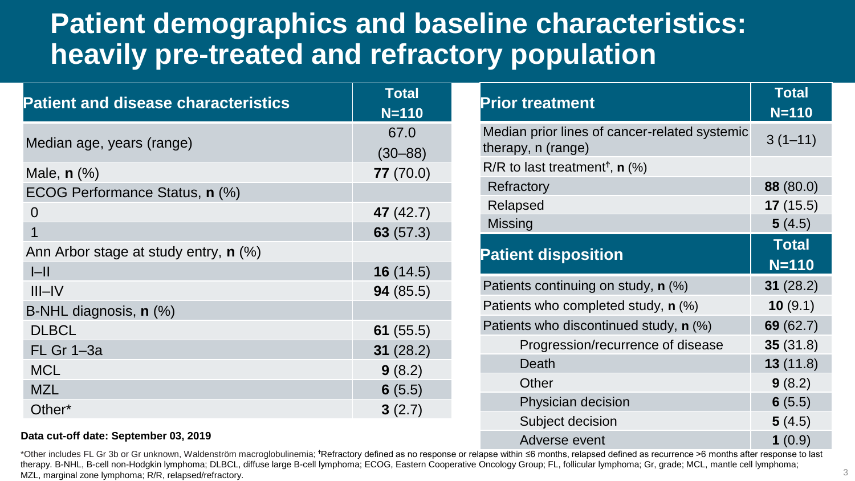### **Patient demographics and baseline characteristics: heavily pre-treated and refractory population**

| <b>Patient and disease characteristics</b>   | <b>Total</b><br>$N = 110$ |
|----------------------------------------------|---------------------------|
| Median age, years (range)                    | 67.0                      |
|                                              | $(30 - 88)$               |
| Male, $n$ $(\%)$                             | 77(70.0)                  |
| ECOG Performance Status, n (%)               |                           |
| $\Omega$                                     | 47 (42.7)                 |
| 1                                            | 63(57.3)                  |
| Ann Arbor stage at study entry, <b>n</b> (%) |                           |
| $ -\ $                                       | 16(14.5)                  |
| $III$ -IV                                    | 94(85.5)                  |
| B-NHL diagnosis, n (%)                       |                           |
| <b>DLBCL</b>                                 | 61 $(55.5)$               |
| <b>FL Gr 1-3a</b>                            | 31(28.2)                  |
| <b>MCL</b>                                   | 9(8.2)                    |
| <b>MZL</b>                                   | 6(5.5)                    |
| Other*                                       | 3(2.7)                    |

| Data cut-off date: September 03, 2019 |  |  |
|---------------------------------------|--|--|
|---------------------------------------|--|--|

| *Other includes FL Gr 3b or Gr unknown, Waldenström macroglobulinemia; *Refractory defined as no response or relapse within ≤6 months, relapsed defined as recurrence >6 months after response to last |  |
|--------------------------------------------------------------------------------------------------------------------------------------------------------------------------------------------------------|--|
| therapy. B-NHL, B-cell non-Hodgkin lymphoma; DLBCL, diffuse large B-cell lymphoma; ECOG, Eastern Cooperative Oncology Group; FL, follicular lymphoma; Gr, grade; MCL, mantle cell lymphoma;            |  |
| MZL, marginal zone lymphoma; R/R, relapsed/refractory.                                                                                                                                                 |  |

| <b>Prior treatment</b>                                              | <b>Total</b><br>$N = 110$ |
|---------------------------------------------------------------------|---------------------------|
| Median prior lines of cancer-related systemic<br>therapy, n (range) | $3(1-11)$                 |
| R/R to last treatment <sup>†</sup> , <b>n</b> $(\%)$                |                           |
| Refractory                                                          | 88 (80.0)                 |
| Relapsed                                                            | 17(15.5)                  |
| <b>Missing</b>                                                      | 5(4.5)                    |
| <b>Patient disposition</b>                                          | <b>Total</b>              |
|                                                                     | $N = 110$                 |
| Patients continuing on study, n (%)                                 | 31(28.2)                  |
| Patients who completed study, n (%)                                 | 10(9.1)                   |
| Patients who discontinued study, n (%)                              | 69(62.7)                  |
| Progression/recurrence of disease                                   | 35(31.8)                  |
| Death                                                               | 13(11.8)                  |
| Other                                                               | 9(8.2)                    |
| Physician decision                                                  | 6(5.5)                    |
| Subject decision                                                    | 5(4.5)                    |
| Adverse event                                                       | 1(0.9)                    |

3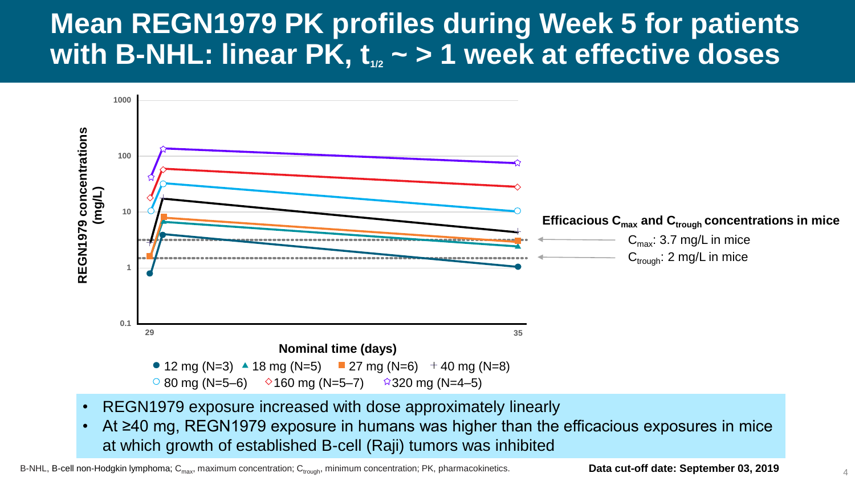### **Mean REGN1979 PK profiles during Week 5 for patients**  with B-NHL: linear PK,  $t_{1/2}$   $\sim$   $>$  1 week at effective doses



- REGN1979 exposure increased with dose approximately linearly
- At ≥40 mg, REGN1979 exposure in humans was higher than the efficacious exposures in mice at which growth of established B-cell (Raji) tumors was inhibited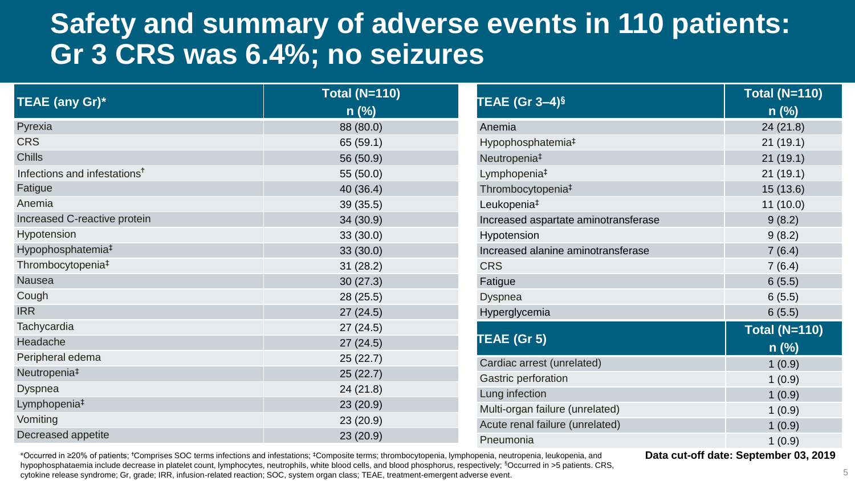#### **Safety and summary of adverse events in 110 patients: Gr 3 CRS was 6.4%; no seizures**

| TEAE (any Gr)*                           | Total (N=110)<br>$n$ (%) | TEAE (Gr $3-4$ ) <sup>§</sup>        | <b>Total (N=110)</b><br>$n$ (%) |
|------------------------------------------|--------------------------|--------------------------------------|---------------------------------|
| Pyrexia                                  | 88 (80.0)                | Anemia                               | 24(21.8)                        |
| <b>CRS</b>                               | 65 (59.1)                | Hypophosphatemia <sup>#</sup>        | 21(19.1)                        |
| Chills                                   | 56 (50.9)                | Neutropenia <sup>#</sup>             | 21(19.1)                        |
| Infections and infestations <sup>†</sup> | 55 (50.0)                | Lymphopenia <sup>#</sup>             | 21(19.1)                        |
| Fatigue                                  | 40 (36.4)                | Thrombocytopenia <sup>#</sup>        | 15(13.6)                        |
| Anemia                                   | 39(35.5)                 | Leukopenia <sup>#</sup>              | 11(10.0)                        |
| Increased C-reactive protein             | 34(30.9)                 | Increased aspartate aminotransferase | 9(8.2)                          |
| Hypotension                              | 33(30.0)                 | Hypotension                          | 9(8.2)                          |
| Hypophosphatemia <sup>‡</sup>            | 33(30.0)                 | Increased alanine aminotransferase   | 7(6.4)                          |
| Thrombocytopenia <sup>‡</sup>            | 31(28.2)                 | <b>CRS</b>                           | 7(6.4)                          |
| <b>Nausea</b>                            | 30(27.3)                 | Fatigue                              | 6(5.5)                          |
| Cough                                    | 28(25.5)                 | <b>Dyspnea</b>                       | 6(5.5)                          |
| <b>IRR</b>                               | 27(24.5)                 | Hyperglycemia                        | 6(5.5)                          |
| Tachycardia                              | 27(24.5)                 |                                      | <b>Total (N=110)</b>            |
| Headache                                 | 27(24.5)                 | TEAE (Gr 5)                          | $n$ (%)                         |
| Peripheral edema                         | 25(22.7)                 | Cardiac arrest (unrelated)           | 1(0.9)                          |
| Neutropenia <sup>#</sup>                 | 25(22.7)                 | Gastric perforation                  | 1(0.9)                          |
| <b>Dyspnea</b>                           | 24(21.8)                 | Lung infection                       | 1(0.9)                          |
| Lymphopenia <sup>#</sup>                 | 23(20.9)                 | Multi-organ failure (unrelated)      | 1(0.9)                          |
| Vomiting                                 | 23(20.9)                 | Acute renal failure (unrelated)      | 1(0.9)                          |
| Decreased appetite                       | 23(20.9)                 | Pneumonia                            | 1(0.9)                          |

\*Occurred in ≥20% of patients; <sup>Ϯ</sup>Comprises SOC terms infections and infestations; ‡Composite terms; thrombocytopenia, lymphopenia, neutropenia, leukopenia, and hypophosphataemia include decrease in platelet count, lymphocytes, neutrophils, white blood cells, and blood phosphorus, respectively; §Occurred in >5 patients. CRS, cytokine release syndrome; Gr, grade; IRR, infusion-related reaction; SOC, system organ class; TEAE, treatment-emergent adverse event.

**Data cut-off date: September 03, 2019**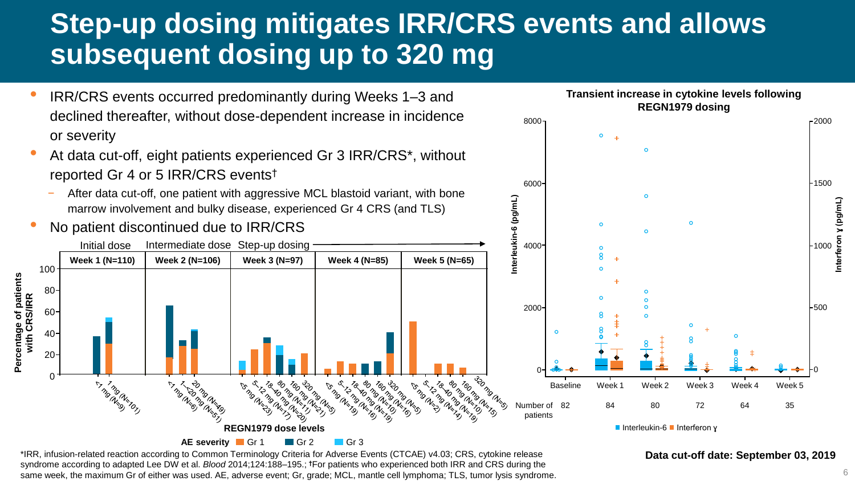# **Step-up dosing mitigates IRR/CRS events and allows subsequent dosing up to 320 mg**

- IRR/CRS events occurred predominantly during Weeks 1–3 and declined thereafter, without dose-dependent increase in incidence or severity
- At data cut-off, eight patients experienced Gr 3 IRR/CRS\*, without reported Gr 4 or 5 IRR/CRS events†
	- After data cut-off, one patient with aggressive MCL blastoid variant, with bone marrow involvement and bulky disease, experienced Gr 4 CRS (and TLS)
- No patient discontinued due to IRR/CRS





\*IRR, infusion-related reaction according to Common Terminology Criteria for Adverse Events (CTCAE) v4.03; CRS, cytokine release syndrome according to adapted Lee DW et al. *Blood* 2014;124:188–195.; **†**For patients who experienced both IRR and CRS during the same week, the maximum Gr of either was used. AE, adverse event; Gr, grade; MCL, mantle cell lymphoma; TLS, tumor lysis syndrome.

#### **Data cut-off date: September 03, 2019**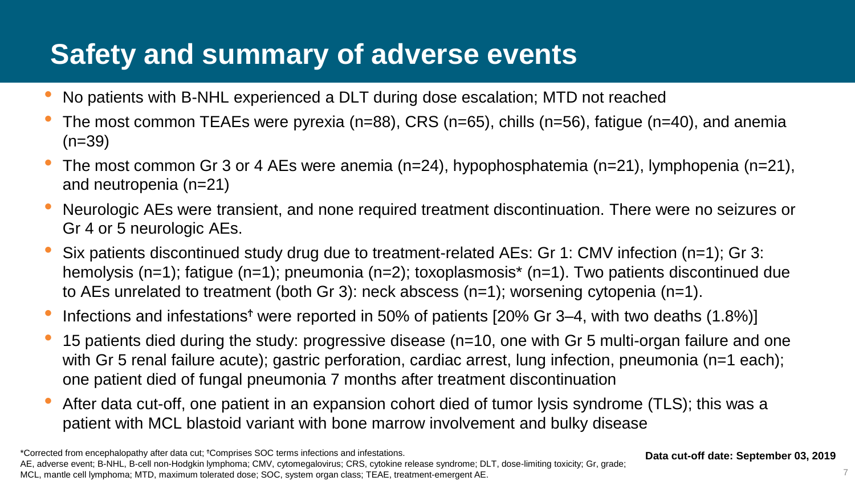# **Safety and summary of adverse events**

- No patients with B-NHL experienced a DLT during dose escalation; MTD not reached
- The most common TEAEs were pyrexia (n=88), CRS (n=65), chills (n=56), fatigue (n=40), and anemia  $(n=39)$
- The most common Gr 3 or 4 AEs were anemia (n=24), hypophosphatemia (n=21), lymphopenia (n=21), and neutropenia (n=21)
- Neurologic AEs were transient, and none required treatment discontinuation. There were no seizures or Gr 4 or 5 neurologic AEs.
- Six patients discontinued study drug due to treatment-related AEs: Gr 1: CMV infection (n=1); Gr 3: hemolysis (n=1); fatigue (n=1); pneumonia (n=2); toxoplasmosis<sup>\*</sup> (n=1). Two patients discontinued due to AEs unrelated to treatment (both Gr 3): neck abscess (n=1); worsening cytopenia (n=1).
- Infections and infestations<sup>†</sup> were reported in 50% of patients [20% Gr 3–4, with two deaths  $(1.8\%)$ ]
- 15 patients died during the study: progressive disease (n=10, one with Gr 5 multi-organ failure and one with Gr 5 renal failure acute); gastric perforation, cardiac arrest, lung infection, pneumonia (n=1 each); one patient died of fungal pneumonia 7 months after treatment discontinuation
- After data cut-off, one patient in an expansion cohort died of tumor lysis syndrome (TLS); this was a patient with MCL blastoid variant with bone marrow involvement and bulky disease

**Data cut-off date: September 03, 2019**

<sup>\*</sup>Corrected from encephalopathy after data cut; <sup>Ϯ</sup>Comprises SOC terms infections and infestations. AE, adverse event; B-NHL, B-cell non-Hodgkin lymphoma; CMV, cytomegalovirus; CRS, cytokine release syndrome; DLT, dose-limiting toxicity; Gr, grade; MCL, mantle cell lymphoma; MTD, maximum tolerated dose; SOC, system organ class; TEAE, treatment-emergent AE.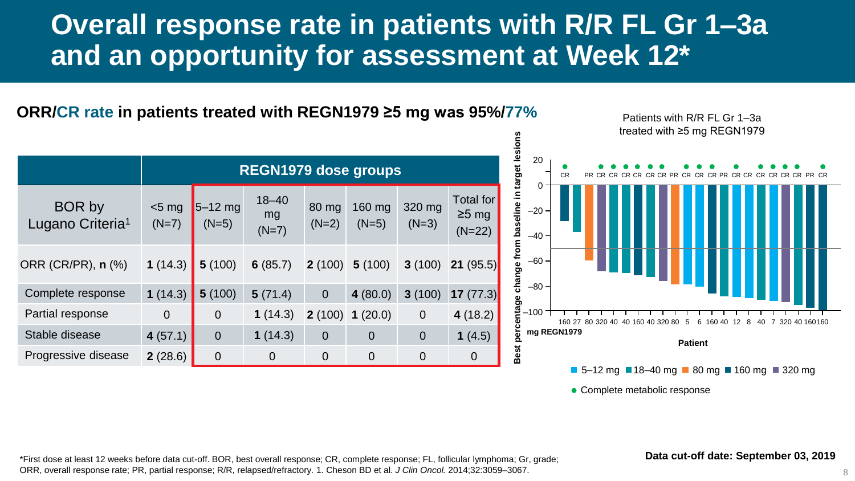### **Overall response rate in patients with R/R FL Gr 1–3a and an opportunity for assessment at Week 12\***

**ORR/CR rate in patients treated with REGN1979 ≥5 mg was 95%/77%**

|                                               | <b>REGN1979 dose groups</b> |                      |                            |                  |                   |                   |                                             |  |
|-----------------------------------------------|-----------------------------|----------------------|----------------------------|------------------|-------------------|-------------------|---------------------------------------------|--|
| <b>BOR</b> by<br>Lugano Criteria <sup>1</sup> | $<$ 5 mg<br>$(N=7)$         | $5-12$ mg<br>$(N=5)$ | $18 - 40$<br>mg<br>$(N=7)$ | 80 mg<br>$(N=2)$ | 160 mg<br>$(N=5)$ | 320 mg<br>$(N=3)$ | <b>Total for</b><br>$\geq$ 5 mg<br>$(N=22)$ |  |
| ORR (CR/PR), n (%)                            | 1 $(14.3)$                  | 5(100)               | 6(85.7)                    | 2(100)           | 5(100)            | 3(100)            | <b>21</b> (95.5)                            |  |
| Complete response                             | 1 $(14.3)$                  | 5(100)               | 5(71.4)                    | $\overline{0}$   | 4 $(80.0)$        | 3(100)            | 17 $(77.3)$                                 |  |
| Partial response                              | $\overline{0}$              | $\overline{0}$       | 1 $(14.3)$                 | 2(100)           | 1(20.0)           | $\overline{0}$    | 4(18.2)                                     |  |
| Stable disease                                | 4 $(57.1)$                  | $\overline{0}$       | 1(14.3)                    | $\overline{0}$   | $\overline{0}$    | $\overline{0}$    | 1 $(4.5)$                                   |  |
| Progressive disease                           | 2(28.6)                     | $\overline{0}$       | $\overline{0}$             | $\overline{0}$   | $\Omega$          | $\overline{0}$    | $\overline{0}$                              |  |



• Complete metabolic response

\*First dose at least 12 weeks before data cut-off. BOR, best overall response; CR, complete response; FL, follicular lymphoma; Gr, grade; ORR, overall response rate; PR, partial response; R/R, relapsed/refractory. 1. Cheson BD et al. *J Clin Oncol.* 2014;32:3059–3067.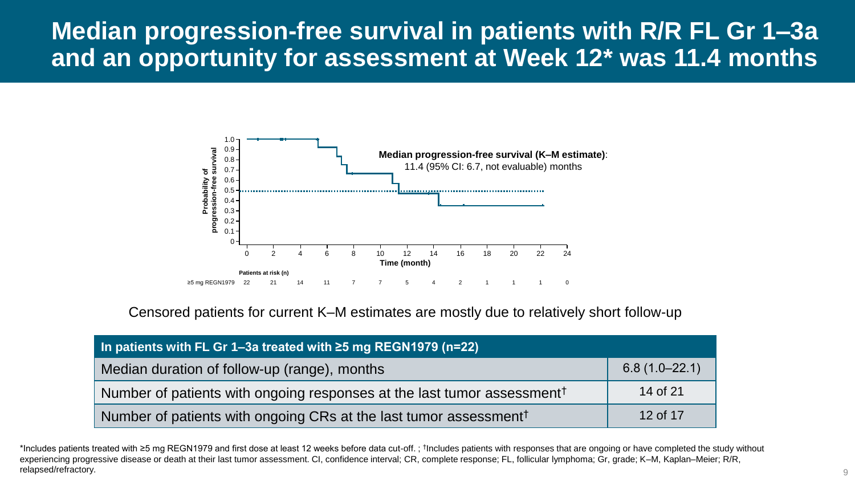#### **Median progression-free survival in patients with R/R FL Gr 1–3a and an opportunity for assessment at Week 12\* was 11.4 months**



Censored patients for current K–M estimates are mostly due to relatively short follow-up

| In patients with FL Gr 1-3a treated with $\geq$ 5 mg REGN1979 (n=22)                |                   |
|-------------------------------------------------------------------------------------|-------------------|
| Median duration of follow-up (range), months                                        | $6.8(1.0 - 22.1)$ |
| Number of patients with ongoing responses at the last tumor assessment <sup>†</sup> | 14 of 21          |
| Number of patients with ongoing CRs at the last tumor assessment <sup>†</sup>       | 12 of 17          |

\*Includes patients treated with ≥5 mg REGN1979 and first dose at least 12 weeks before data cut-off.; <sup>†</sup>Includes patients with responses that are ongoing or have completed the study without experiencing progressive disease or death at their last tumor assessment. CI, confidence interval; CR, complete response; FL, follicular lymphoma; Gr, grade; K–M, Kaplan–Meier; R/R, relapsed/refractory.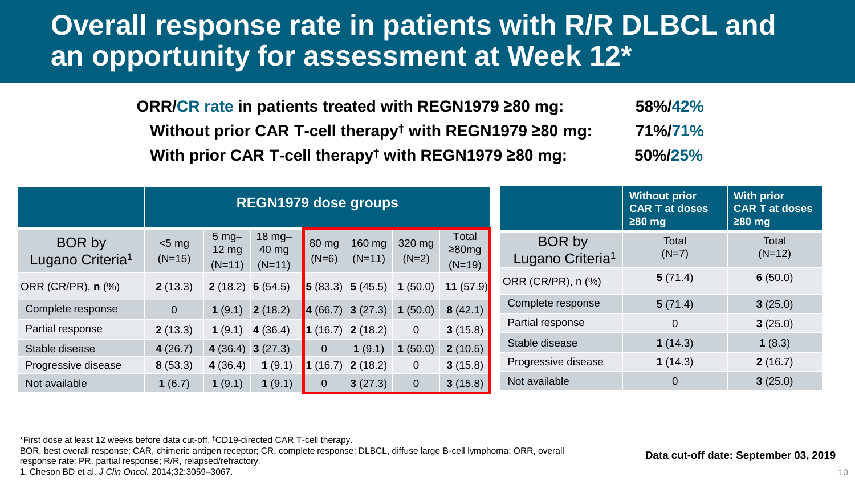#### **Overall response rate in patients with R/R DLBCL and an opportunity for assessment at Week 12\***

**ORR/CR rate in patients treated with REGN1979 ≥80 mg: 58%/42% Without prior CAR T-cell therapy† with REGN1979 ≥80 mg: 71%/71% With prior CAR T-cell therapy† with REGN1979 ≥80 mg: 50%/25%**

|                                        | <b>REGN1979 dose groups</b> |                                               |                                      |                          |                                       |                   |                                  | <b>Without prior</b><br><b>CAR T at doses</b><br>$\geq 80$ mg | <b>With prior</b><br><b>CAR T at doses</b><br>$\geq 80$ mg |                   |
|----------------------------------------|-----------------------------|-----------------------------------------------|--------------------------------------|--------------------------|---------------------------------------|-------------------|----------------------------------|---------------------------------------------------------------|------------------------------------------------------------|-------------------|
| BOR by<br>Lugano Criteria <sup>1</sup> | $<$ 5 mg<br>$(N=15)$        | $5 \text{ mg}$<br>$12 \text{ mg}$<br>$(N=11)$ | $18 \text{ mg}$<br>40 mg<br>$(N=11)$ | 80 mg<br>$(N=6)$         | 160 mg<br>$(N=11)$                    | 320 mg<br>$(N=2)$ | Total<br>$\geq$ 80mg<br>$(N=19)$ | BOR by<br>Lugano Criteria <sup>1</sup>                        | <b>Total</b><br>$(N=7)$                                    | Total<br>$(N=12)$ |
| ORR (CR/PR), n (%)                     | 2(13.3)                     | <b>2</b> (18.2) <b>6</b> (54.5)               |                                      | $\vert 5 \rangle (83.3)$ | 5(45.5)                               | 1(50.0)           | 11 $(57.9)$                      | ORR (CR/PR), n (%)                                            | 5(71.4)                                                    | 6(50.0)           |
| Complete response                      | $\overline{0}$              | 1(9.1)                                        | 2(18.2)                              |                          | $\vert 4 (66.7) \vert 3 (27.3) \vert$ | 1(50.0)           | 8(42.1)                          | Complete response                                             | 5(71.4)                                                    | 3(25.0)           |
| Partial response                       | 2(13.3)                     | 1(9.1)                                        | 4(36.4)                              |                          | $\vert$ 1 (16.7) 2 (18.2)             | $\overline{0}$    | 3(15.8)                          | Partial response                                              | 0                                                          | 3(25.0)           |
| Stable disease                         | 4(26.7)                     |                                               | 4 (36.4) 3 (27.3)                    | $\overline{0}$           | 1(9.1)                                | 1(50.0)           | 2(10.5)                          | Stable disease                                                | 1(14.3)                                                    | 1(8.3)            |
| Progressive disease                    | 8(53.3)                     | 4(36.4)                                       | (9.1)                                | 1(16.7)                  | 2(18.2)                               | $\overline{0}$    | 3(15.8)                          | Progressive disease                                           | 1(14.3)                                                    | 2(16.7)           |
| Not available                          | 1 $(6.7)$                   | 1(9.1)                                        | 1(9.1)                               | $\overline{0}$           | 3(27.3)                               | $\overline{0}$    | 3(15.8)                          | Not available                                                 | 0                                                          | 3(25.0)           |

\*First dose at least 12 weeks before data cut-off. †CD19-directed CAR T-cell therapy.

BOR, best overall response; CAR, chimeric antigen receptor; CR, complete response; DLBCL, diffuse large B-cell lymphoma; ORR, overall

response rate; PR, partial response; R/R, relapsed/refractory.

1. Cheson BD et al. *J Clin Oncol.* 2014;32:3059–3067.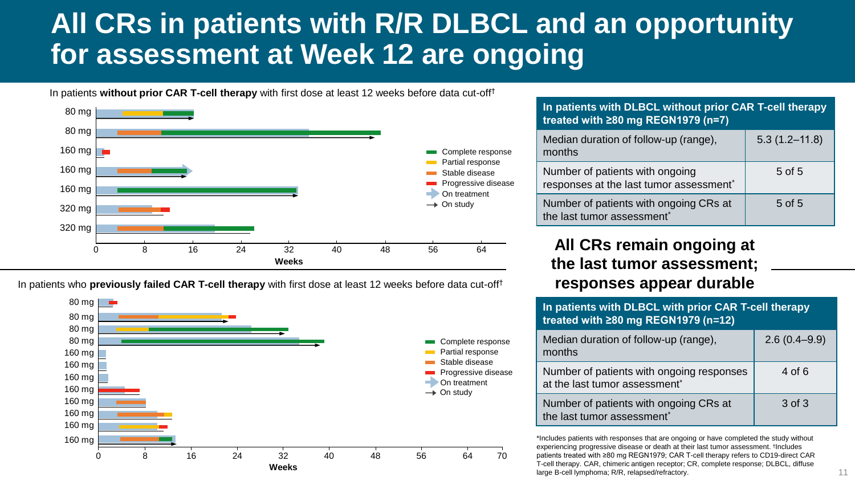# **All CRs in patients with R/R DLBCL and an opportunity for assessment at Week 12 are ongoing**

In patients **without prior CAR T-cell therapy** with first dose at least 12 weeks before data cut-off†



In patients who **previously failed CAR T-cell therapy** with first dose at least 12 weeks before data cut-off†



| In patients with DLBCL without prior CAR T-cell therapy<br>treated with $\geq$ 80 mg REGN1979 (n=7) |                   |
|-----------------------------------------------------------------------------------------------------|-------------------|
| Median duration of follow-up (range),<br>months                                                     | $5.3(1.2 - 11.8)$ |
| Number of patients with ongoing<br>responses at the last tumor assessment*                          | 5 of 5            |
| Number of patients with ongoing CRs at<br>the last tumor assessment*                                | $5$ of $5$        |

#### **All CRs remain ongoing at the last tumor assessment; responses appear durable**

| In patients with DLBCL with prior CAR T-cell therapy<br>treated with ≥80 mg REGN1979 (n=12) |                  |  |  |  |  |
|---------------------------------------------------------------------------------------------|------------------|--|--|--|--|
| Median duration of follow-up (range),<br>months                                             | $2.6(0.4 - 9.9)$ |  |  |  |  |
| Number of patients with ongoing responses<br>at the last tumor assessment*                  | 4 of 6           |  |  |  |  |
| Number of patients with ongoing CRs at<br>the last tumor assessment*                        | 3 of 3           |  |  |  |  |

\*Includes patients with responses that are ongoing or have completed the study without experiencing progressive disease or death at their last tumor assessment. † Includes patients treated with ≥80 mg REGN1979; CAR T-cell therapy refers to CD19-direct CAR T-cell therapy. CAR, chimeric antigen receptor; CR, complete response; DLBCL, diffuse large B-cell lymphoma; R/R, relapsed/refractory.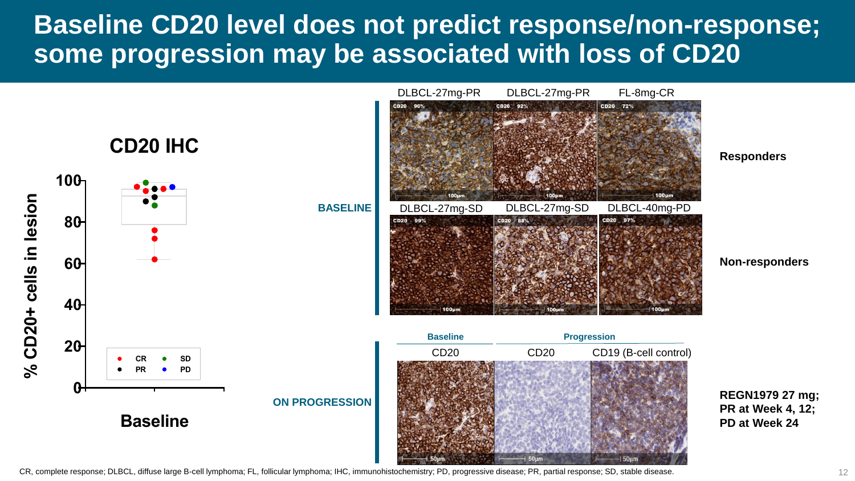#### **Baseline CD20 level does not predict response/non-response; some progression may be associated with loss of CD20**

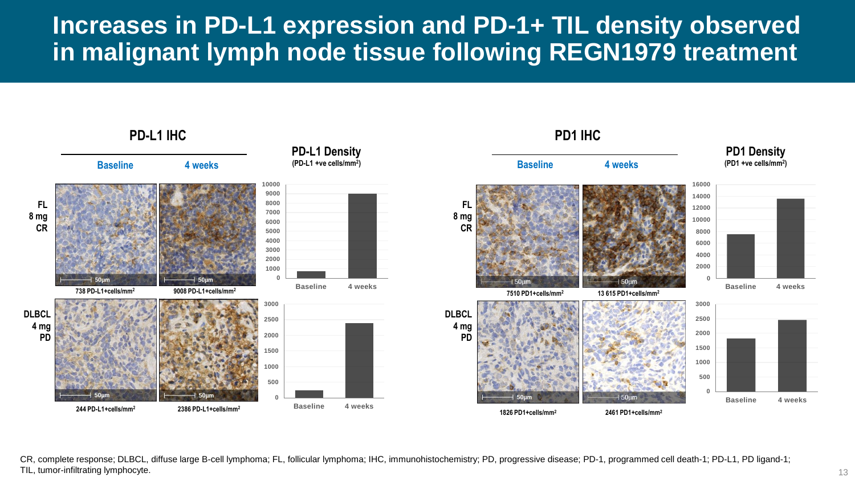#### **Increases in PD-L1 expression and PD-1+ TIL density observed in malignant lymph node tissue following REGN1979 treatment**



CR, complete response; DLBCL, diffuse large B-cell lymphoma; FL, follicular lymphoma; IHC, immunohistochemistry; PD, progressive disease; PD-1, programmed cell death-1; PD-L1, PD ligand-1; TIL, tumor-infiltrating lymphocyte. 13